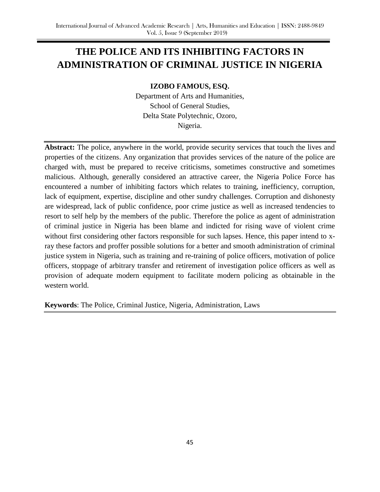# **THE POLICE AND ITS INHIBITING FACTORS IN ADMINISTRATION OF CRIMINAL JUSTICE IN NIGERIA**

**IZOBO FAMOUS, ESQ.**

Department of Arts and Humanities, School of General Studies, Delta State Polytechnic, Ozoro, Nigeria.

**Abstract:** The police, anywhere in the world, provide security services that touch the lives and properties of the citizens. Any organization that provides services of the nature of the police are charged with, must be prepared to receive criticisms, sometimes constructive and sometimes malicious. Although, generally considered an attractive career, the Nigeria Police Force has encountered a number of inhibiting factors which relates to training, inefficiency, corruption, lack of equipment, expertise, discipline and other sundry challenges. Corruption and dishonesty are widespread, lack of public confidence, poor crime justice as well as increased tendencies to resort to self help by the members of the public. Therefore the police as agent of administration of criminal justice in Nigeria has been blame and indicted for rising wave of violent crime without first considering other factors responsible for such lapses. Hence, this paper intend to xray these factors and proffer possible solutions for a better and smooth administration of criminal justice system in Nigeria, such as training and re-training of police officers, motivation of police officers, stoppage of arbitrary transfer and retirement of investigation police officers as well as provision of adequate modern equipment to facilitate modern policing as obtainable in the western world.

**Keywords**: The Police, Criminal Justice, Nigeria, Administration, Laws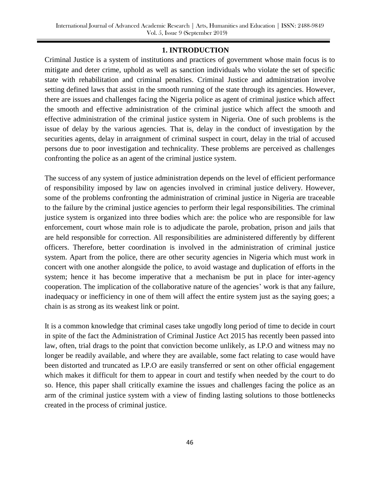#### **1. INTRODUCTION**

Criminal Justice is a system of institutions and practices of government whose main focus is to mitigate and deter crime, uphold as well as sanction individuals who violate the set of specific state with rehabilitation and criminal penalties. Criminal Justice and administration involve setting defined laws that assist in the smooth running of the state through its agencies. However, there are issues and challenges facing the Nigeria police as agent of criminal justice which affect the smooth and effective administration of the criminal justice which affect the smooth and effective administration of the criminal justice system in Nigeria. One of such problems is the issue of delay by the various agencies. That is, delay in the conduct of investigation by the securities agents, delay in arraignment of criminal suspect in court, delay in the trial of accused persons due to poor investigation and technicality. These problems are perceived as challenges confronting the police as an agent of the criminal justice system.

The success of any system of justice administration depends on the level of efficient performance of responsibility imposed by law on agencies involved in criminal justice delivery. However, some of the problems confronting the administration of criminal justice in Nigeria are traceable to the failure by the criminal justice agencies to perform their legal responsibilities. The criminal justice system is organized into three bodies which are: the police who are responsible for law enforcement, court whose main role is to adjudicate the parole, probation, prison and jails that are held responsible for correction. All responsibilities are administered differently by different officers. Therefore, better coordination is involved in the administration of criminal justice system. Apart from the police, there are other security agencies in Nigeria which must work in concert with one another alongside the police, to avoid wastage and duplication of efforts in the system; hence it has become imperative that a mechanism be put in place for inter-agency cooperation. The implication of the collaborative nature of the agencies' work is that any failure, inadequacy or inefficiency in one of them will affect the entire system just as the saying goes; a chain is as strong as its weakest link or point.

It is a common knowledge that criminal cases take ungodly long period of time to decide in court in spite of the fact the Administration of Criminal Justice Act 2015 has recently been passed into law, often, trial drags to the point that conviction become unlikely, as I.P.O and witness may no longer be readily available, and where they are available, some fact relating to case would have been distorted and truncated as I.P.O are easily transferred or sent on other official engagement which makes it difficult for them to appear in court and testify when needed by the court to do so. Hence, this paper shall critically examine the issues and challenges facing the police as an arm of the criminal justice system with a view of finding lasting solutions to those bottlenecks created in the process of criminal justice.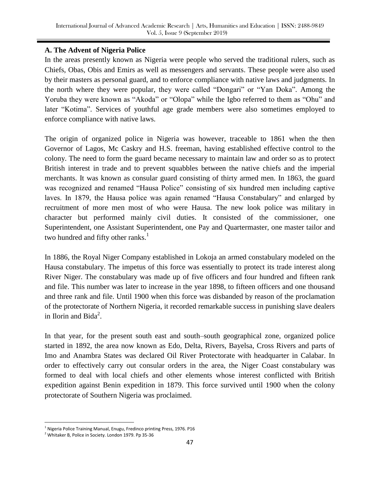# **A. The Advent of Nigeria Police**

In the areas presently known as Nigeria were people who served the traditional rulers, such as Chiefs, Obas, Obis and Emirs as well as messengers and servants. These people were also used by their masters as personal guard, and to enforce compliance with native laws and judgments. In the north where they were popular, they were called "Dongari" or "Yan Doka". Among the Yoruba they were known as "Akoda" or "Olopa" while the Igbo referred to them as "Ohu" and later "Kotima". Services of youthful age grade members were also sometimes employed to enforce compliance with native laws.

The origin of organized police in Nigeria was however, traceable to 1861 when the then Governor of Lagos, Mc Caskry and H.S. freeman, having established effective control to the colony. The need to form the guard became necessary to maintain law and order so as to protect British interest in trade and to prevent squabbles between the native chiefs and the imperial merchants. It was known as consular guard consisting of thirty armed men. In 1863, the guard was recognized and renamed "Hausa Police" consisting of six hundred men including captive laves. In 1879, the Hausa police was again renamed "Hausa Constabulary" and enlarged by recruitment of more men most of who were Hausa. The new look police was military in character but performed mainly civil duties. It consisted of the commissioner, one Superintendent, one Assistant Superintendent, one Pay and Quartermaster, one master tailor and two hundred and fifty other ranks. $<sup>1</sup>$ </sup>

In 1886, the Royal Niger Company established in Lokoja an armed constabulary modeled on the Hausa constabulary. The impetus of this force was essentially to protect its trade interest along River Niger. The constabulary was made up of five officers and four hundred and fifteen rank and file. This number was later to increase in the year 1898, to fifteen officers and one thousand and three rank and file. Until 1900 when this force was disbanded by reason of the proclamation of the protectorate of Northern Nigeria, it recorded remarkable success in punishing slave dealers in Ilorin and Bida<sup>2</sup>.

In that year, for the present south east and south–south geographical zone, organized police started in 1892, the area now known as Edo, Delta, Rivers, Bayelsa, Cross Rivers and parts of Imo and Anambra States was declared Oil River Protectorate with headquarter in Calabar. In order to effectively carry out consular orders in the area, the Niger Coast constabulary was formed to deal with local chiefs and other elements whose interest conflicted with British expedition against Benin expedition in 1879. This force survived until 1900 when the colony protectorate of Southern Nigeria was proclaimed.

<sup>&</sup>lt;sup>1</sup> Nigeria Police Training Manual, Enugu, Fredinco printing Press, 1976. P16

<sup>2</sup> Whitaker B, Police in Society. London 1979. Pp 35-36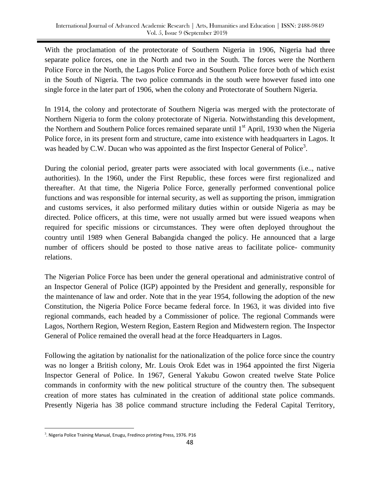With the proclamation of the protectorate of Southern Nigeria in 1906, Nigeria had three separate police forces, one in the North and two in the South. The forces were the Northern Police Force in the North, the Lagos Police Force and Southern Police force both of which exist in the South of Nigeria. The two police commands in the south were however fused into one single force in the later part of 1906, when the colony and Protectorate of Southern Nigeria.

In 1914, the colony and protectorate of Southern Nigeria was merged with the protectorate of Northern Nigeria to form the colony protectorate of Nigeria. Notwithstanding this development, the Northern and Southern Police forces remained separate until  $1<sup>st</sup>$  April, 1930 when the Nigeria Police force, in its present form and structure, came into existence with headquarters in Lagos. It was headed by C.W. Ducan who was appointed as the first Inspector General of Police<sup>3</sup>.

During the colonial period, greater parts were associated with local governments (i.e.., native authorities). In the  $1960<sub>s</sub>$  under the First Republic, these forces were first regionalized and thereafter. At that time, the Nigeria Police Force, generally performed conventional police functions and was responsible for internal security, as well as supporting the prison, immigration and customs services, it also performed military duties within or outside Nigeria as may be directed. Police officers, at this time, were not usually armed but were issued weapons when required for specific missions or circumstances. They were often deployed throughout the country until 1989 when General Babangida changed the policy. He announced that a large number of officers should be posted to those native areas to facilitate police- community relations.

The Nigerian Police Force has been under the general operational and administrative control of an Inspector General of Police (IGP) appointed by the President and generally, responsible for the maintenance of law and order. Note that in the year 1954, following the adoption of the new Constitution, the Nigeria Police Force became federal force. In 1963, it was divided into five regional commands, each headed by a Commissioner of police. The regional Commands were Lagos, Northern Region, Western Region, Eastern Region and Midwestern region. The Inspector General of Police remained the overall head at the force Headquarters in Lagos.

Following the agitation by nationalist for the nationalization of the police force since the country was no longer a British colony, Mr. Louis Orok Edet was in 1964 appointed the first Nigeria Inspector General of Police. In 1967, General Yakubu Gowon created twelve State Police commands in conformity with the new political structure of the country then. The subsequent creation of more states has culminated in the creation of additional state police commands. Presently Nigeria has 38 police command structure including the Federal Capital Territory,

 $3$ . Nigeria Police Training Manual, Enugu, Fredinco printing Press, 1976. P16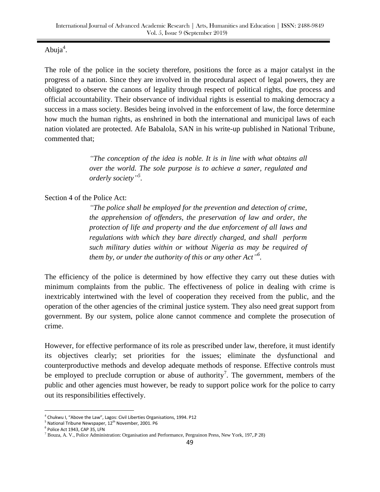Abuja $4$ .

The role of the police in the society therefore, positions the force as a major catalyst in the progress of a nation. Since they are involved in the procedural aspect of legal powers, they are obligated to observe the canons of legality through respect of political rights, due process and official accountability. Their observance of individual rights is essential to making democracy a success in a mass society. Besides being involved in the enforcement of law, the force determine how much the human rights, as enshrined in both the international and municipal laws of each nation violated are protected. Afe Babalola, SAN in his write-up published in National Tribune, commented that;

> *"The conception of the idea is noble. It is in line with what obtains all over the world. The sole purpose is to achieve a saner, regulated and orderly society" 5 .*

Section 4 of the Police Act:

*"The police shall be employed for the prevention and detection of crime, the apprehension of offenders, the preservation of law and order, the protection of life and property and the due enforcement of all laws and regulations with which they bare directly charged, and shall perform such military duties within or without Nigeria as may be required of them by, or under the authority of this or any other Act" 6 .*

The efficiency of the police is determined by how effective they carry out these duties with minimum complaints from the public. The effectiveness of police in dealing with crime is inextricably intertwined with the level of cooperation they received from the public, and the operation of the other agencies of the criminal justice system. They also need great support from government. By our system, police alone cannot commence and complete the prosecution of crime.

However, for effective performance of its role as prescribed under law, therefore, it must identify its objectives clearly; set priorities for the issues; eliminate the dysfunctional and counterproductive methods and develop adequate methods of response. Effective controls must be employed to preclude corruption or abuse of authority<sup>7</sup>. The government, members of the public and other agencies must however, be ready to support police work for the police to carry out its responsibilities effectively.

<sup>&</sup>lt;sup>4</sup> Chukwu I, "Above the Law", Lagos: Civil Liberties Organisations, 1994. P12

<sup>&</sup>lt;sup>5</sup> National Tribune Newspaper, 12<sup>th</sup> November, 2001. P6

 $^6$  Police Act 1943, CAP 35, LFN

<sup>7</sup> Bouza, A. V., Police Administration: Organisation and Performance, Pergrainon Press, New York, 197,.P 28)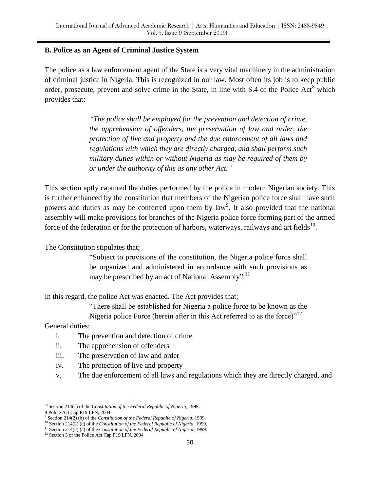#### **B. Police as an Agent of Criminal Justice System**

The police as a law enforcement agent of the State is a very vital machinery in the administration of criminal justice in Nigeria. This is recognized in our law. Most often its job is to keep public order, prosecute, prevent and solve crime in the State, in line with  $S.4$  of the Police Act<sup>8</sup> which provides that:

> *"The police shall be employed for the prevention and detection of crime, the apprehension of offenders, the preservation of law and order, the protection of live and property and the due enforcement of all laws and regulations with which they are directly charged, and shall perform such military duties within or without Nigeria as may be required of them by or under the authority of this as any other Act."*

This section aptly captured the duties performed by the police in modern Nigerian society. This is further enhanced by the constitution that members of the Nigerian police force shall have such powers and duties as may be conferred upon them by  $law<sup>9</sup>$ . It also provided that the national assembly will make provisions for branches of the Nigeria police force forming part of the armed force of the federation or for the protection of harbors, waterways, railways and art fields  $10$ .

The Constitution stipulates that;

"Subject to provisions of the constitution, the Nigeria police force shall be organized and administered in accordance with such provisions as may be prescribed by an act of National Assembly".<sup>11</sup>

In this regard, the police Act was enacted. The Act provides that;

"There shall be established for Nigeria a police force to be known as the

Nigeria police Force (herein after in this Act referred to as the force) $n^{12}$ .

General duties;

- i. The prevention and detection of crime
- ii. The apprehension of offenders
- iii. The preservation of law and order
- iv. The protection of live and property
- v. The due enforcement of all laws and regulations which they are directly charged, and

<sup>÷.</sup> 8A Section 214(1) of the *Constitution of the Federal Republic of Nigeria*, 1999.

<sup>8</sup> Police Act Cap P19 LFN, 2004.

 $9^9$  Section 214(2) (b) of the *Constitution of the Federal Republic of Nigeria*, 1999.

<sup>10</sup> Section 214(2) (c) of the *Constitution of the Federal Republic of Nigeria*, 1999. <sup>11</sup> Section 214(2) (a) of the *Constitution of the Federal Republic of Nigeria*, 1999.

<sup>&</sup>lt;sup>12</sup> Section 3 of the Police Act Cap P19 LFN, 2004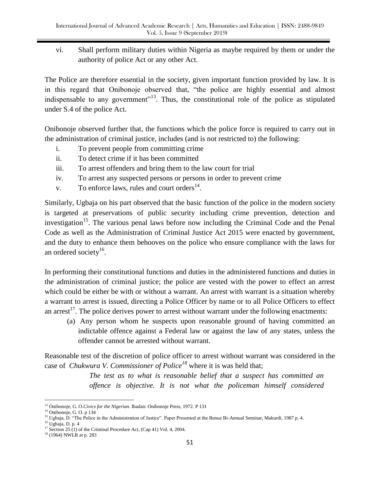vi. Shall perform military duties within Nigeria as maybe required by them or under the authority of police Act or any other Act.

The Police are therefore essential in the society, given important function provided by law. It is in this regard that Onibonoje observed that, "the police are highly essential and almost indispensable to any government"<sup>13</sup>. Thus, the constitutional role of the police as stipulated under S.4 of the police Act.

Onibonoje observed further that, the functions which the police force is required to carry out in the administration of criminal justice, includes (and is not restricted to) the following:

- i. To prevent people from committing crime
- ii. To detect crime if it has been committed
- iii. To arrest offenders and bring them to the law court for trial
- iv. To arrest any suspected persons or persons in order to prevent crime
- v. To enforce laws, rules and court orders $<sup>14</sup>$ .</sup>

Similarly, Ugbaja on his part observed that the basic function of the police in the modern society is targeted at preservations of public security including crime prevention, detection and investigation<sup>15</sup>. The various penal laws before now including the Criminal Code and the Penal Code as well as the Administration of Criminal Justice Act 2015 were enacted by government, and the duty to enhance them behooves on the police who ensure compliance with the laws for an ordered society<sup>16</sup>.

In performing their constitutional functions and duties in the administered functions and duties in the administration of criminal justice; the police are vested with the power to effect an arrest which could be either be with or without a warrant. An arrest with warrant is a situation whereby a warrant to arrest is issued, directing a Police Officer by name or to all Police Officers to effect an arrest<sup>17</sup>. The police derives power to arrest without warrant under the following enactments:

(a) Any person whom he suspects upon reasonable ground of having committed an indictable offence against a Federal law or against the law of any states, unless the offender cannot be arrested without warrant.

Reasonable test of the discretion of police officer to arrest without warrant was considered in the case of *Chukwura V. Commissioner of Police<sup>18</sup>* where it is was held that;

> *The test as to what is reasonable belief that a suspect has committed an offence is objective. It is not what the policeman himself considered*

<sup>÷.</sup> <sup>13</sup> Onibonoje, G. O.*Civics for the Nigerian*. Ibadan: Onibonoje Press, 1972. P 131

<sup>14</sup> Onibonoje, G. O. p 134

<sup>&</sup>lt;sup>15</sup> Ugbaja, D. "The Police in the Administration of Justice". Paper Presented at the Benue Bi-Annual Seminar, Makurdi, 1987 p. 4.

<sup>16</sup> Ugbaja, D. p. 4

<sup>&</sup>lt;sup>17</sup> Section 25 (1) of the Criminal Procedure Act, (Cap 41) Vol. 4, 2004.

<sup>&</sup>lt;sup>18</sup> (1964) NWLR at p. 283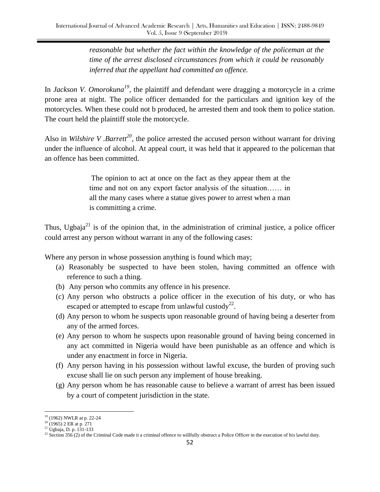*reasonable but whether the fact within the knowledge of the policeman at the time of the arrest disclosed circumstances from which it could be reasonably inferred that the appellant had committed an offence.* 

In *Jackson V. Omorokuna*<sup>19</sup>, the plaintiff and defendant were dragging a motorcycle in a crime prone area at night. The police officer demanded for the particulars and ignition key of the motorcycles. When these could not b produced, he arrested them and took them to police station. The court held the plaintiff stole the motorcycle.

Also in *Wilshire V .Barrett*<sup>20</sup>, the police arrested the accused person without warrant for driving under the influence of alcohol. At appeal court, it was held that it appeared to the policeman that an offence has been committed.

> The opinion to act at once on the fact as they appear them at the time and not on any export factor analysis of the situation…… in all the many cases where a statue gives power to arrest when a man is committing a crime.

Thus, Ugbaja $^{21}$  is of the opinion that, in the administration of criminal justice, a police officer could arrest any person without warrant in any of the following cases:

Where any person in whose possession anything is found which may;

- (a) Reasonably be suspected to have been stolen, having committed an offence with reference to such a thing.
- (b) Any person who commits any offence in his presence.
- (c) Any person who obstructs a police officer in the execution of his duty, or who has escaped or attempted to escape from unlawful custody<sup>22</sup>.
- (d) Any person to whom he suspects upon reasonable ground of having being a deserter from any of the armed forces.
- (e) Any person to whom he suspects upon reasonable ground of having being concerned in any act committed in Nigeria would have been punishable as an offence and which is under any enactment in force in Nigeria.
- (f) Any person having in his possession without lawful excuse, the burden of proving such excuse shall lie on such person any implement of house breaking.
- (g) Any person whom he has reasonable cause to believe a warrant of arrest has been issued by a court of competent jurisdiction in the state.

<sup>&</sup>lt;sup>19</sup> (1962) NWLR at p. 22-24

 $20$  (1965) 2 ER at p. 271

<sup>21</sup> Ugbaja, D. p. 131-133

<sup>&</sup>lt;sup>22</sup> Section 356 (2) of the Criminal Code made it a criminal offence to willfully obstruct a Police Officer in the execution of his lawful duty.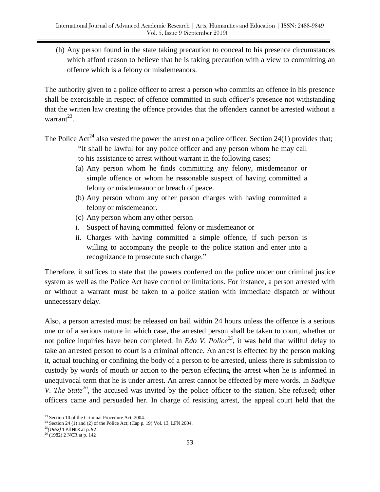(h) Any person found in the state taking precaution to conceal to his presence circumstances which afford reason to believe that he is taking precaution with a view to committing an offence which is a felony or misdemeanors.

The authority given to a police officer to arrest a person who commits an offence in his presence shall be exercisable in respect of offence committed in such officer's presence not withstanding that the written law creating the offence provides that the offenders cannot be arrested without a warrant $^{23}$ .

The Police Act<sup>24</sup> also vested the power the arrest on a police officer. Section 24(1) provides that;

- "It shall be lawful for any police officer and any person whom he may call to his assistance to arrest without warrant in the following cases;
- (a) Any person whom he finds committing any felony, misdemeanor or simple offence or whom he reasonable suspect of having committed a felony or misdemeanor or breach of peace.
- (b) Any person whom any other person charges with having committed a felony or misdemeanor.
- (c) Any person whom any other person
- i. Suspect of having committed felony or misdemeanor or
- ii. Charges with having committed a simple offence, if such person is willing to accompany the people to the police station and enter into a recognizance to prosecute such charge."

Therefore, it suffices to state that the powers conferred on the police under our criminal justice system as well as the Police Act have control or limitations. For instance, a person arrested with or without a warrant must be taken to a police station with immediate dispatch or without unnecessary delay.

Also, a person arrested must be released on bail within 24 hours unless the offence is a serious one or of a serious nature in which case, the arrested person shall be taken to court, whether or not police inquiries have been completed. In *Edo V. Police*<sup>25</sup>, it was held that willful delay to take an arrested person to court is a criminal offence. An arrest is effected by the person making it, actual touching or confining the body of a person to be arrested, unless there is submission to custody by words of mouth or action to the person effecting the arrest when he is informed in unequivocal term that he is under arrest. An arrest cannot be effected by mere words. In *Sadique V. The State*<sup>26</sup>, the accused was invited by the police officer to the station. She refused; other officers came and persuaded her. In charge of resisting arrest, the appeal court held that the

L, <sup>23</sup> Section 10 of the Criminal Procedure Act, 2004.

<sup>&</sup>lt;sup>24</sup> Section 24 (1) and (2) of the Police Act; (Cap p. 19) Vol. 13, LFN 2004.

<sup>25</sup>*(1962)* 1 All NLR at p. 92

 $26$ <sup>26</sup> (1982) 2 NCR at p. 142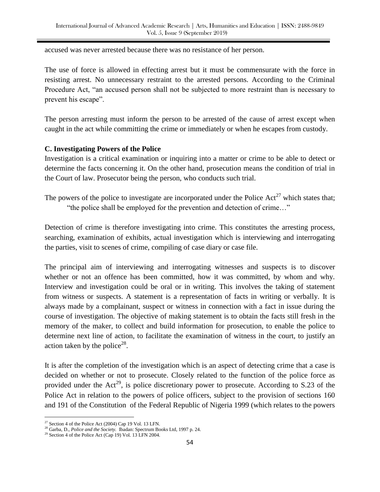accused was never arrested because there was no resistance of her person.

The use of force is allowed in effecting arrest but it must be commensurate with the force in resisting arrest. No unnecessary restraint to the arrested persons. According to the Criminal Procedure Act, "an accused person shall not be subjected to more restraint than is necessary to prevent his escape".

The person arresting must inform the person to be arrested of the cause of arrest except when caught in the act while committing the crime or immediately or when he escapes from custody.

#### **C. Investigating Powers of the Police**

Investigation is a critical examination or inquiring into a matter or crime to be able to detect or determine the facts concerning it. On the other hand, prosecution means the condition of trial in the Court of law. Prosecutor being the person, who conducts such trial.

The powers of the police to investigate are incorporated under the Police  $Act^{27}$  which states that; "the police shall be employed for the prevention and detection of crime…"

Detection of crime is therefore investigating into crime. This constitutes the arresting process, searching, examination of exhibits, actual investigation which is interviewing and interrogating the parties, visit to scenes of crime, compiling of case diary or case file.

The principal aim of interviewing and interrogating witnesses and suspects is to discover whether or not an offence has been committed, how it was committed, by whom and why. Interview and investigation could be oral or in writing. This involves the taking of statement from witness or suspects. A statement is a representation of facts in writing or verbally. It is always made by a complainant, suspect or witness in connection with a fact in issue during the course of investigation. The objective of making statement is to obtain the facts still fresh in the memory of the maker, to collect and build information for prosecution, to enable the police to determine next line of action, to facilitate the examination of witness in the court, to justify an action taken by the police<sup>28</sup>.

It is after the completion of the investigation which is an aspect of detecting crime that a case is decided on whether or not to prosecute. Closely related to the function of the police force as provided under the  $Act^{29}$ , is police discretionary power to prosecute. According to S.23 of the Police Act in relation to the powers of police officers, subject to the provision of sections 160 and 191 of the Constitution of the Federal Republic of Nigeria 1999 (which relates to the powers

 $27$  Section 4 of the Police Act (2004) Cap 19 Vol. 13 LFN.

<sup>28</sup> Garba, D., *Police and the Society.* Ibadan: Spectrum Books Ltd, 1997 p. 24.

<sup>29</sup> Section 4 of the Police Act (Cap 19) Vol. 13 LFN 2004.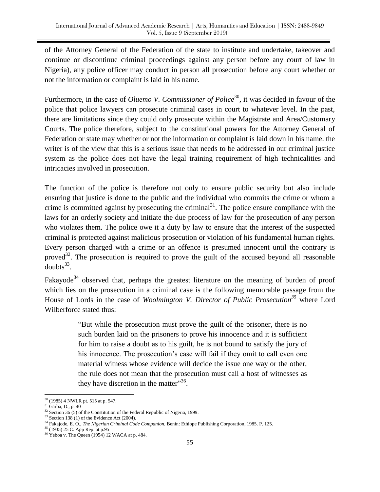of the Attorney General of the Federation of the state to institute and undertake, takeover and continue or discontinue criminal proceedings against any person before any court of law in Nigeria), any police officer may conduct in person all prosecution before any court whether or not the information or complaint is laid in his name.

Furthermore, in the case of *Oluemo V. Commissioner of Police*<sup>30</sup>, it was decided in favour of the police that police lawyers can prosecute criminal cases in court to whatever level. In the past, there are limitations since they could only prosecute within the Magistrate and Area/Customary Courts. The police therefore, subject to the constitutional powers for the Attorney General of Federation or state may whether or not the information or complaint is laid down in his name. the writer is of the view that this is a serious issue that needs to be addressed in our criminal justice system as the police does not have the legal training requirement of high technicalities and intricacies involved in prosecution.

The function of the police is therefore not only to ensure public security but also include ensuring that justice is done to the public and the individual who commits the crime or whom a crime is committed against by prosecuting the criminal<sup>31</sup>. The police ensure compliance with the laws for an orderly society and initiate the due process of law for the prosecution of any person who violates them. The police owe it a duty by law to ensure that the interest of the suspected criminal is protected against malicious prosecution or violation of his fundamental human rights. Every person charged with a crime or an offence is presumed innocent until the contrary is proved<sup>32</sup>. The prosecution is required to prove the guilt of the accused beyond all reasonable doubts $^{33}$ .

Fakayode<sup>34</sup> observed that, perhaps the greatest literature on the meaning of burden of proof which lies on the prosecution in a criminal case is the following memorable passage from the House of Lords in the case of *Woolmington V. Director of Public Prosecution<sup>35</sup>* where Lord Wilberforce stated thus:

> "But while the prosecution must prove the guilt of the prisoner, there is no such burden laid on the prisoners to prove his innocence and it is sufficient for him to raise a doubt as to his guilt, he is not bound to satisfy the jury of his innocence. The prosecution's case will fail if they omit to call even one material witness whose evidence will decide the issue one way or the other, the rule does not mean that the prosecution must call a host of witnesses as they have discretion in the matter"<sup>36</sup>.

L,

<sup>30</sup> (1985) 4 NWLR pt. 515 at p. 547.

 $31$  Garba, D., p. 40

 $32$  Section 36 (5) of the Constitution of the Federal Republic of Nigeria, 1999.

 $33$  Section 138 (1) of the Evidence Act (2004).

<sup>34</sup> Fakajode, E. O., *The Nigerian Criminal Code Companion.* Benin: Ethiope Publishing Corporation, 1985. P. 125.

<sup>35</sup> (1935) 25 C. App Rep. at p.95

<sup>36</sup> Yeboa v. The Queen (1954) 12 WACA at p. 484.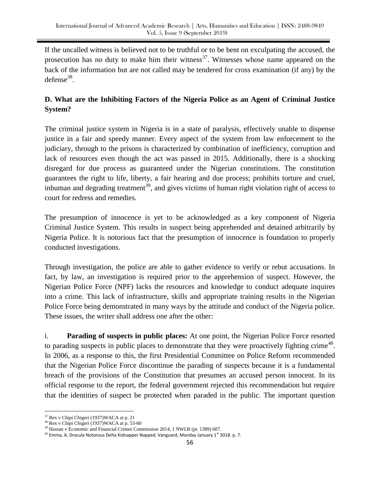If the uncalled witness is believed not to be truthful or to be bent on exculpating the accused, the prosecution has no duty to make him their witness<sup>37</sup>. Witnesses whose name appeared on the back of the information but are not called may be tendered for cross examination (if any) by the  $defense^{38}$ .

# **D. What are the Inhibiting Factors of the Nigeria Police as an Agent of Criminal Justice System?**

The criminal justice system in Nigeria is in a state of paralysis, effectively unable to dispense justice in a fair and speedy manner. Every aspect of the system from law enforcement to the judiciary, through to the prisons is characterized by combination of inefficiency, corruption and lack of resources even though the act was passed in 2015. Additionally, there is a shocking disregard for due process as guaranteed under the Nigerian constitutions. The constitution guarantees the right to life, liberty, a fair hearing and due process; prohibits torture and cruel, inhuman and degrading treatment<sup>39</sup>, and gives victims of human right violation right of access to court for redress and remedies.

The presumption of innocence is yet to be acknowledged as a key component of Nigeria Criminal Justice System. This results in suspect being apprehended and detained arbitrarily by Nigeria Police. It is notorious fact that the presumption of innocence is foundation to properly conducted investigations.

Through investigation, the police are able to gather evidence to verify or rebut accusations. In fact, by law, an investigation is required prior to the apprehension of suspect. However, the Nigerian Police Force (NPF) lacks the resources and knowledge to conduct adequate inquires into a crime. This lack of infrastructure, skills and appropriate training results in the Nigerian Police Force being demonstrated in many ways by the attitude and conduct of the Nigeria police. These issues, the writer shall address one after the other:

i. **Parading of suspects in public places:** At one point, the Nigerian Police Force resorted to parading suspects in public places to demonstrate that they were proactively fighting crime<sup>40</sup>. In 2006, as a response to this, the first Presidential Committee on Police Reform recommended that the Nigerian Police Force discontinue the parading of suspects because it is a fundamental breach of the provisions of the Constitution that presumes an accused person innocent. In its official response to the report, the federal government rejected this recommendation but require that the identities of suspect be protected when paraded in the public. The important question

L,

<sup>37</sup> Rex v Chipi Chigeri (1937)WACA at p. 21

<sup>&</sup>lt;sup>38</sup> Rex v Chipi Chigeri (1937)WACA at p. 53-60

<sup>&</sup>lt;sup>39</sup> Hassan v Economic and Financial Crimes Commission 2014, 1 NWLR (pt. 1389) 607.

 $^{40}$  Emma, A. Dracula Notorous Delta Kidnapper Napped. Vanguard, Monday January 1<sup>st</sup> 2018. p. 7.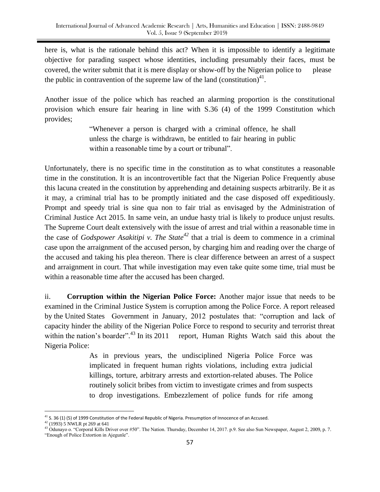here is, what is the rationale behind this act? When it is impossible to identify a legitimate objective for parading suspect whose identities, including presumably their faces, must be covered, the writer submit that it is mere display or show-off by the Nigerian police to please the public in contravention of the supreme law of the land (constitution)<sup>41</sup>.

Another issue of the police which has reached an alarming proportion is the constitutional provision which ensure fair hearing in line with S.36 (4) of the 1999 Constitution which provides;

> "Whenever a person is charged with a criminal offence, he shall unless the charge is withdrawn, be entitled to fair hearing in public within a reasonable time by a court or tribunal".

Unfortunately, there is no specific time in the constitution as to what constitutes a reasonable time in the constitution. It is an incontrovertible fact that the Nigerian Police Frequently abuse this lacuna created in the constitution by apprehending and detaining suspects arbitrarily. Be it as it may, a criminal trial has to be promptly initiated and the case disposed off expeditiously. Prompt and speedy trial is sine qua non to fair trial as envisaged by the Administration of Criminal Justice Act 2015. In same vein, an undue hasty trial is likely to produce unjust results. The Supreme Court dealt extensively with the issue of arrest and trial within a reasonable time in the case of *Godspower Asakitipi v. The State<sup>42</sup>* that a trial is deem to commence in a criminal case upon the arraignment of the accused person, by charging him and reading over the charge of the accused and taking his plea thereon. There is clear difference between an arrest of a suspect and arraignment in court. That while investigation may even take quite some time, trial must be within a reasonable time after the accused has been charged.

ii. **Corruption within the Nigerian Police Force:** Another major issue that needs to be examined in the Criminal Justice System is corruption among the Police Force. A report released by the United States Government in January, 2012 postulates that: "corruption and lack of capacity hinder the ability of the Nigerian Police Force to respond to security and terrorist threat within the nation's boarder".<sup>43</sup> In its 2011 report, Human Rights Watch said this about the Nigeria Police:

> As in previous years, the undisciplined Nigeria Police Force was implicated in frequent human rights violations, including extra judicial killings, torture, arbitrary arrests and extortion-related abuses. The Police routinely solicit bribes from victim to investigate crimes and from suspects to drop investigations. Embezzlement of police funds for rife among

L,

 $41$  S. 36 (1) (5) of 1999 Constitution of the Federal Republic of Nigeria. Presumption of Innocence of an Accused.

 $42$  (1993) 5 NWLR pt 269 at 641

<sup>&</sup>lt;sup>43</sup> Odunayo o. "Corporal Kills Driver over #50". The Nation. Thursday, December 14, 2017. p.9. See also Sun Newspaper, August 2, 2009, p. 7. "Enough of Police Extortion in Ajegunle".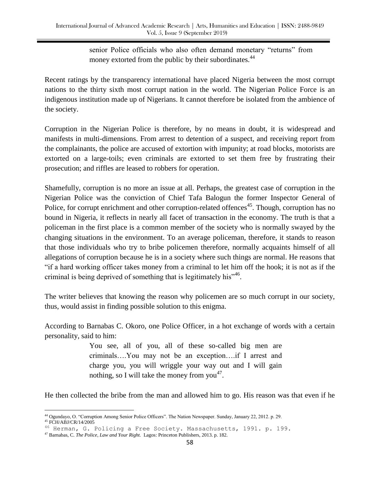senior Police officials who also often demand monetary "returns" from money extorted from the public by their subordinates.<sup>44</sup>

Recent ratings by the transparency international have placed Nigeria between the most corrupt nations to the thirty sixth most corrupt nation in the world. The Nigerian Police Force is an indigenous institution made up of Nigerians. It cannot therefore be isolated from the ambience of the society.

Corruption in the Nigerian Police is therefore, by no means in doubt, it is widespread and manifests in multi-dimensions. From arrest to detention of a suspect, and receiving report from the complainants, the police are accused of extortion with impunity; at road blocks, motorists are extorted on a large-toils; even criminals are extorted to set them free by frustrating their prosecution; and riffles are leased to robbers for operation.

Shamefully, corruption is no more an issue at all. Perhaps, the greatest case of corruption in the Nigerian Police was the conviction of Chief Tafa Balogun the former Inspector General of Police, for corrupt enrichment and other corruption-related offences<sup>45</sup>. Though, corruption has no bound in Nigeria, it reflects in nearly all facet of transaction in the economy. The truth is that a policeman in the first place is a common member of the society who is normally swayed by the changing situations in the environment. To an average policeman, therefore, it stands to reason that those individuals who try to bribe policemen therefore, normally acquaints himself of all allegations of corruption because he is in a society where such things are normal. He reasons that "if a hard working officer takes money from a criminal to let him off the hook; it is not as if the criminal is being deprived of something that is legitimately his $146$ .

The writer believes that knowing the reason why policemen are so much corrupt in our society, thus, would assist in finding possible solution to this enigma.

According to Barnabas C. Okoro, one Police Officer, in a hot exchange of words with a certain personality, said to him:

> You see, all of you, all of these so-called big men are criminals….You may not be an exception….if I arrest and charge you, you will wriggle your way out and I will gain nothing, so I will take the money from you<sup>47</sup>.

He then collected the bribe from the man and allowed him to go. His reason was that even if he

i<br>L <sup>44</sup> Ogundayo, O. "Corruption Among Senior Police Officers". The Nation Newspaper. Sunday, January 22, 2012. p. 29.

<sup>45</sup> FCH/ABJ/CR/14/2005

<sup>46</sup> Herman, G. Policing a Free Society. Massachusetts, 1991. p. 199.

<sup>47</sup> Barnabas, C. *The Police, Law and Your Right.* Lagos: Princeton Publishers, 2013. p. 182.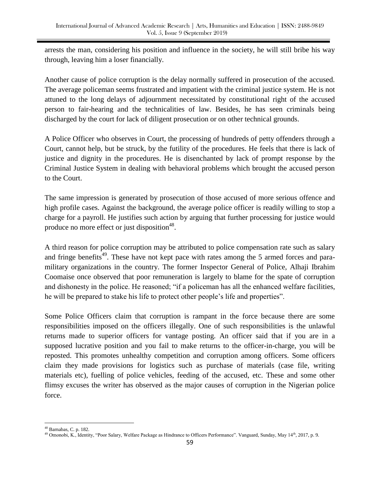arrests the man, considering his position and influence in the society, he will still bribe his way through, leaving him a loser financially.

Another cause of police corruption is the delay normally suffered in prosecution of the accused. The average policeman seems frustrated and impatient with the criminal justice system. He is not attuned to the long delays of adjournment necessitated by constitutional right of the accused person to fair-hearing and the technicalities of law. Besides, he has seen criminals being discharged by the court for lack of diligent prosecution or on other technical grounds.

A Police Officer who observes in Court, the processing of hundreds of petty offenders through a Court, cannot help, but be struck, by the futility of the procedures. He feels that there is lack of justice and dignity in the procedures. He is disenchanted by lack of prompt response by the Criminal Justice System in dealing with behavioral problems which brought the accused person to the Court.

The same impression is generated by prosecution of those accused of more serious offence and high profile cases. Against the background, the average police officer is readily willing to stop a charge for a payroll. He justifies such action by arguing that further processing for justice would produce no more effect or just disposition $48$ .

A third reason for police corruption may be attributed to police compensation rate such as salary and fringe benefits<sup>49</sup>. These have not kept pace with rates among the 5 armed forces and paramilitary organizations in the country. The former Inspector General of Police, Alhaji Ibrahim Coomaise once observed that poor remuneration is largely to blame for the spate of corruption and dishonesty in the police. He reasoned; "if a policeman has all the enhanced welfare facilities, he will be prepared to stake his life to protect other people's life and properties".

Some Police Officers claim that corruption is rampant in the force because there are some responsibilities imposed on the officers illegally. One of such responsibilities is the unlawful returns made to superior officers for vantage posting. An officer said that if you are in a supposed lucrative position and you fail to make returns to the officer-in-charge, you will be reposted. This promotes unhealthy competition and corruption among officers. Some officers claim they made provisions for logistics such as purchase of materials (case file, writing materials etc), fuelling of police vehicles, feeding of the accused, etc. These and some other flimsy excuses the writer has observed as the major causes of corruption in the Nigerian police force.

i<br>L <sup>48</sup> Barnabas, C. p. 182.

<sup>&</sup>lt;sup>49</sup> Omonobi, K., Identity, "Poor Salary, Welfare Package as Hindrance to Officers Performance". Vanguard, Sunday, May 14<sup>th</sup>, 2017, p. 9.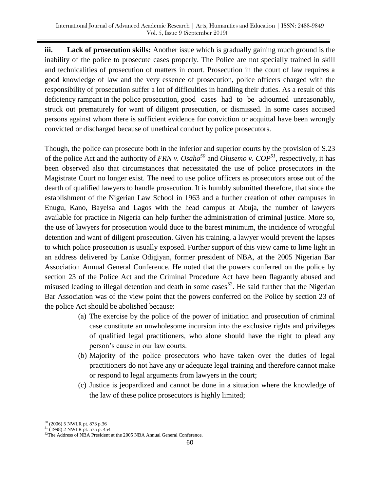**iii. Lack of prosecution skills:** Another issue which is gradually gaining much ground is the inability of the police to prosecute cases properly. The Police are not specially trained in skill and technicalities of prosecution of matters in court. Prosecution in the court of law requires a good knowledge of law and the very essence of prosecution, police officers charged with the responsibility of prosecution suffer a lot of difficulties in handling their duties. As a result of this deficiency rampant in the police prosecution, good cases had to be adjourned unreasonably, struck out prematurely for want of diligent prosecution, or dismissed. In some cases accused persons against whom there is sufficient evidence for conviction or acquittal have been wrongly convicted or discharged because of unethical conduct by police prosecutors.

Though, the police can prosecute both in the inferior and superior courts by the provision of S.23 of the police Act and the authority of *FRN v. Osaho<sup>50</sup>* and *Olusemo v. COP<sup>51</sup>*, respectively, it has been observed also that circumstances that necessitated the use of police prosecutors in the Magistrate Court no longer exist. The need to use police officers as prosecutors arose out of the dearth of qualified lawyers to handle prosecution. It is humbly submitted therefore, that since the establishment of the Nigerian Law School in 1963 and a further creation of other campuses in Enugu, Kano, Bayelsa and Lagos with the head campus at Abuja, the number of lawyers available for practice in Nigeria can help further the administration of criminal justice. More so, the use of lawyers for prosecution would duce to the barest minimum, the incidence of wrongful detention and want of diligent prosecution. Given his training, a lawyer would prevent the lapses to which police prosecution is usually exposed. Further support of this view came to lime light in an address delivered by Lanke Odigiyan, former president of NBA, at the 2005 Nigerian Bar Association Annual General Conference. He noted that the powers conferred on the police by section 23 of the Police Act and the Criminal Procedure Act have been flagrantly abused and misused leading to illegal detention and death in some cases<sup>52</sup>. He said further that the Nigerian Bar Association was of the view point that the powers conferred on the Police by section 23 of the police Act should be abolished because:

- (a) The exercise by the police of the power of initiation and prosecution of criminal case constitute an unwholesome incursion into the exclusive rights and privileges of qualified legal practitioners, who alone should have the right to plead any person's cause in our law courts.
- (b) Majority of the police prosecutors who have taken over the duties of legal practitioners do not have any or adequate legal training and therefore cannot make or respond to legal arguments from lawyers in the court;
- (c) Justice is jeopardized and cannot be done in a situation where the knowledge of the law of these police prosecutors is highly limited;

i<br>L <sup>50</sup> (2006) 5 NWLR pt. 873 p.36

<sup>51</sup> (1998) 2 NWLR pt. 575 p. 454

<sup>&</sup>lt;sup>52</sup>The Address of NBA President at the 2005 NBA Annual General Conference.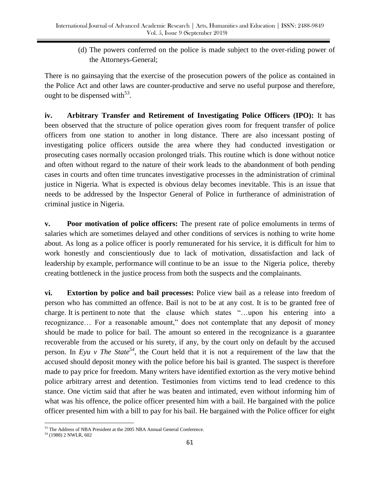(d) The powers conferred on the police is made subject to the over-riding power of the Attorneys-General;

There is no gainsaying that the exercise of the prosecution powers of the police as contained in the Police Act and other laws are counter-productive and serve no useful purpose and therefore, ought to be dispensed with  $53$ .

**iv. Arbitrary Transfer and Retirement of Investigating Police Officers (IPO):** It has been observed that the structure of police operation gives room for frequent transfer of police officers from one station to another in long distance. There are also incessant posting of investigating police officers outside the area where they had conducted investigation or prosecuting cases normally occasion prolonged trials. This routine which is done without notice and often without regard to the nature of their work leads to the abandonment of both pending cases in courts and often time truncates investigative processes in the administration of criminal justice in Nigeria. What is expected is obvious delay becomes inevitable. This is an issue that needs to be addressed by the Inspector General of Police in furtherance of administration of criminal justice in Nigeria.

**v. Poor motivation of police officers:** The present rate of police emoluments in terms of salaries which are sometimes delayed and other conditions of services is nothing to write home about. As long as a police officer is poorly remunerated for his service, it is difficult for him to work honestly and conscientiously due to lack of motivation, dissatisfaction and lack of leadership by example, performance will continue to be an issue to the Nigeria police, thereby creating bottleneck in the justice process from both the suspects and the complainants.

**vi. Extortion by police and bail processes:** Police view bail as a release into freedom of person who has committed an offence. Bail is not to be at any cost. It is to be granted free of charge. It is pertinent to note that the clause which states "…upon his entering into a recognizance… For a reasonable amount," does not contemplate that any deposit of money should be made to police for bail. The amount so entered in the recognizance is a guarantee recoverable from the accused or his surety, if any, by the court only on default by the accused person. In *Eyu v The State<sup>54</sup>*, the Court held that it is not a requirement of the law that the accused should deposit money with the police before his bail is granted. The suspect is therefore made to pay price for freedom. Many writers have identified extortion as the very motive behind police arbitrary arrest and detention. Testimonies from victims tend to lead credence to this stance. One victim said that after he was beaten and intimated, even without informing him of what was his offence, the police officer presented him with a bail. He bargained with the police officer presented him with a bill to pay for his bail. He bargained with the Police officer for eight

i<br>L <sup>53</sup> The Address of NBA President at the 2005 NBA Annual General Conference.

<sup>54</sup> (1988) 2 NWLR, 602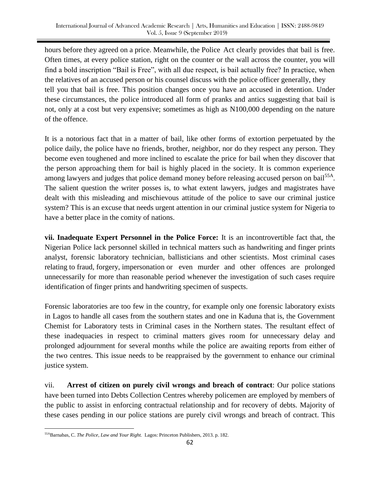hours before they agreed on a price. Meanwhile, the Police Act clearly provides that bail is free. Often times, at every police station, right on the counter or the wall across the counter, you will find a bold inscription "Bail is Free", with all due respect, is bail actually free? In practice, when the relatives of an accused person or his counsel discuss with the police officer generally, they tell you that bail is free. This position changes once you have an accused in detention. Under these circumstances, the police introduced all form of pranks and antics suggesting that bail is not, only at a cost but very expensive; sometimes as high as N100,000 depending on the nature of the offence.

It is a notorious fact that in a matter of bail, like other forms of extortion perpetuated by the police daily, the police have no friends, brother, neighbor, nor do they respect any person. They become even toughened and more inclined to escalate the price for bail when they discover that the person approaching them for bail is highly placed in the society. It is common experience among lawyers and judges that police demand money before releasing accused person on bail<sup>55A</sup>. The salient question the writer posses is, to what extent lawyers, judges and magistrates have dealt with this misleading and mischievous attitude of the police to save our criminal justice system? This is an excuse that needs urgent attention in our criminal justice system for Nigeria to have a better place in the comity of nations.

**vii. Inadequate Expert Personnel in the Police Force:** It is an incontrovertible fact that, the Nigerian Police lack personnel skilled in technical matters such as handwriting and finger prints analyst, forensic laboratory technician, ballisticians and other scientists. Most criminal cases relating to fraud, forgery, impersonation or even murder and other offences are prolonged unnecessarily for more than reasonable period whenever the investigation of such cases require identification of finger prints and handwriting specimen of suspects.

Forensic laboratories are too few in the country, for example only one forensic laboratory exists in Lagos to handle all cases from the southern states and one in Kaduna that is, the Government Chemist for Laboratory tests in Criminal cases in the Northern states. The resultant effect of these inadequacies in respect to criminal matters gives room for unnecessary delay and prolonged adjournment for several months while the police are awaiting reports from either of the two centres. This issue needs to be reappraised by the government to enhance our criminal justice system.

vii. **Arrest of citizen on purely civil wrongs and breach of contract**: Our police stations have been turned into Debts Collection Centres whereby policemen are employed by members of the public to assist in enforcing contractual relationship and for recovery of debts. Majority of these cases pending in our police stations are purely civil wrongs and breach of contract. This

i<br>L 55ABarnabas, C. *The Police, Law and Your Right.* Lagos: Princeton Publishers, 2013. p. 182.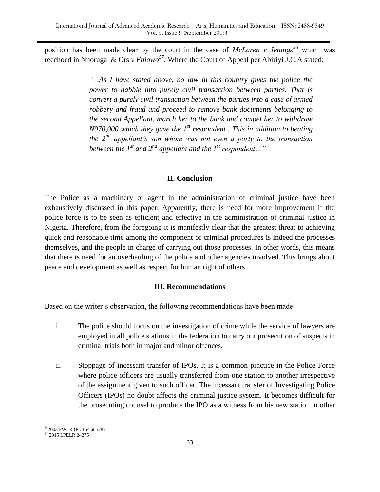position has been made clear by the court in the case of *McLaren v Jenings<sup>56</sup>* which was reechoed in Nnoruga & Ors *v Eniowo<sup>57</sup>*. Where the Court of Appeal per Abiriyi J.C.A stated;

> *"...As I have stated above, no law in this country gives the police the power to dabble into purely civil transaction between parties. That is convert a purely civil transaction between the parties into a case of armed robbery and fraud and proceed to remove bank documents belonging to the second Appellant, march her to the bank and compel her to withdraw N970,000 which they gave the 1st respondent . This in addition to beating the 2nd appellant's son whom was not even a party to the transaction between the 1st and 2nd appellant and the 1st respondent…"*

#### **II. Conclusion**

The Police as a machinery or agent in the administration of criminal justice have been exhaustively discussed in this paper. Apparently, there is need for more improvement if the police force is to be seen as efficient and effective in the administration of criminal justice in Nigeria. Therefore, from the foregoing it is manifestly clear that the greatest threat to achieving quick and reasonable time among the component of criminal procedures is indeed the processes themselves, and the people in charge of carrying out those processes. In other words, this means that there is need for an overhauling of the police and other agencies involved. This brings about peace and development as well as respect for human right of others.

#### **III. Recommendations**

Based on the writer's observation, the following recommendations have been made:

- i. The police should focus on the investigation of crime while the service of lawyers are employed in all police stations in the federation to carry out prosecution of suspects in criminal trials both in major and minor offences.
- ii. Stoppage of incessant transfer of IPOs. It is a common practice in the Police Force where police officers are usually transferred from one station to another irrespective of the assignment given to such officer. The incessant transfer of Investigating Police Officers (IPOs) no doubt affects the criminal justice system. It becomes difficult for the prosecuting counsel to produce the IPO as a witness from his new station in other

<sup>56</sup>2003 FWLR (Pt. 154 at 528)

i<br>L

<sup>57</sup> 2015 LPELR 24275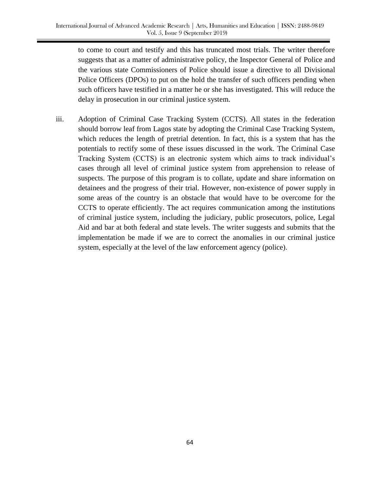to come to court and testify and this has truncated most trials. The writer therefore suggests that as a matter of administrative policy, the Inspector General of Police and the various state Commissioners of Police should issue a directive to all Divisional Police Officers (DPOs) to put on the hold the transfer of such officers pending when such officers have testified in a matter he or she has investigated. This will reduce the delay in prosecution in our criminal justice system.

iii. Adoption of Criminal Case Tracking System (CCTS). All states in the federation should borrow leaf from Lagos state by adopting the Criminal Case Tracking System, which reduces the length of pretrial detention. In fact, this is a system that has the potentials to rectify some of these issues discussed in the work. The Criminal Case Tracking System (CCTS) is an electronic system which aims to track individual's cases through all level of criminal justice system from apprehension to release of suspects. The purpose of this program is to collate, update and share information on detainees and the progress of their trial. However, non-existence of power supply in some areas of the country is an obstacle that would have to be overcome for the CCTS to operate efficiently. The act requires communication among the institutions of criminal justice system, including the judiciary, public prosecutors, police, Legal Aid and bar at both federal and state levels. The writer suggests and submits that the implementation be made if we are to correct the anomalies in our criminal justice system, especially at the level of the law enforcement agency (police).